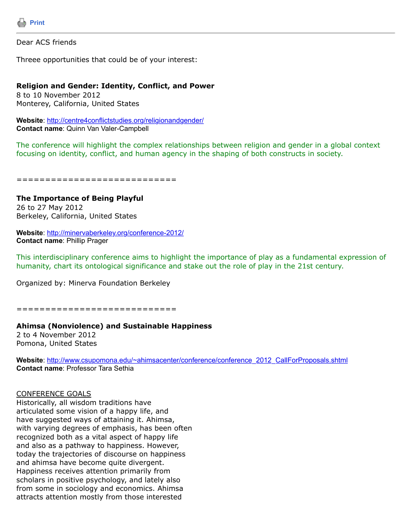

Dear ACS friends

Threee opportunities that could be of your interest:

### **Religion and Gender: Identity, Conflict, and Power**

8 to 10 November 2012 Monterey, California, United States

**Website**: <http://centre4conflictstudies.org/religionandgender/> **Contact name**: Quinn Van Valer-Campbell

The conference will highlight the complex relationships between religion and gender in a global context focusing on identity, conflict, and human agency in the shaping of both constructs in society.

============================

**The Importance of Being Playful**  26 to 27 May 2012 Berkeley, California, United States

**Website**: <http://minervaberkeley.org/conference-2012/> **Contact name**: Phillip Prager

This interdisciplinary conference aims to highlight the importance of play as a fundamental expression of humanity, chart its ontological significance and stake out the role of play in the 21st century.

Organized by: Minerva Foundation Berkeley

============================

#### **Ahimsa (Nonviolence) and Sustainable Happiness**

2 to 4 November 2012 Pomona, United States

**Website**: [http://www.csupomona.edu/~ahimsacenter/conference/conference\\_2012\\_CallForProposals.shtml](http://www.csupomona.edu/~ahimsacenter/conference/conference_2012_CallForProposals.shtml) **Contact name**: Professor Tara Sethia

#### CONFERENCE GOALS

Historically, all wisdom traditions have articulated some vision of a happy life, and have suggested ways of attaining it. Ahimsa, with varying degrees of emphasis, has been often recognized both as a vital aspect of happy life and also as a pathway to happiness. However, today the trajectories of discourse on happiness and ahimsa have become quite divergent. Happiness receives attention primarily from scholars in positive psychology, and lately also from some in sociology and economics. Ahimsa attracts attention mostly from those interested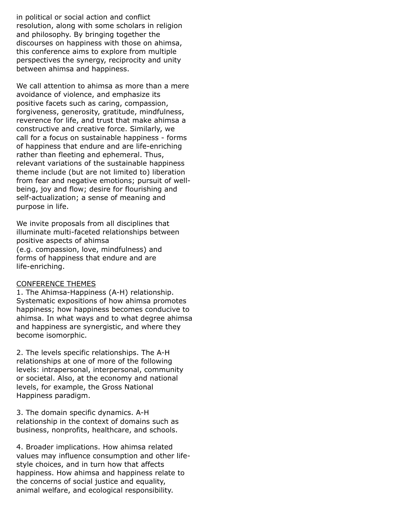in political or social action and conflict resolution, along with some scholars in religion and philosophy. By bringing together the discourses on happiness with those on ahimsa, this conference aims to explore from multiple perspectives the synergy, reciprocity and unity between ahimsa and happiness.

We call attention to ahimsa as more than a mere avoidance of violence, and emphasize its positive facets such as caring, compassion, forgiveness, generosity, gratitude, mindfulness, reverence for life, and trust that make ahimsa a constructive and creative force. Similarly, we call for a focus on sustainable happiness - forms of happiness that endure and are life-enriching rather than fleeting and ephemeral. Thus, relevant variations of the sustainable happiness theme include (but are not limited to) liberation from fear and negative emotions; pursuit of wellbeing, joy and flow; desire for flourishing and self-actualization; a sense of meaning and purpose in life.

We invite proposals from all disciplines that illuminate multi-faceted relationships between positive aspects of ahimsa (e.g. compassion, love, mindfulness) and forms of happiness that endure and are life-enriching.

## CONFERENCE THEMES

1. The Ahimsa-Happiness (A-H) relationship. Systematic expositions of how ahimsa promotes happiness; how happiness becomes conducive to ahimsa. In what ways and to what degree ahimsa and happiness are synergistic, and where they become isomorphic.

2. The levels specific relationships. The A-H relationships at one of more of the following levels: intrapersonal, interpersonal, community or societal. Also, at the economy and national levels, for example, the Gross National Happiness paradigm.

3. The domain specific dynamics. A-H relationship in the context of domains such as business, nonprofits, healthcare, and schools.

4. Broader implications. How ahimsa related values may influence consumption and other lifestyle choices, and in turn how that affects happiness. How ahimsa and happiness relate to the concerns of social justice and equality, animal welfare, and ecological responsibility.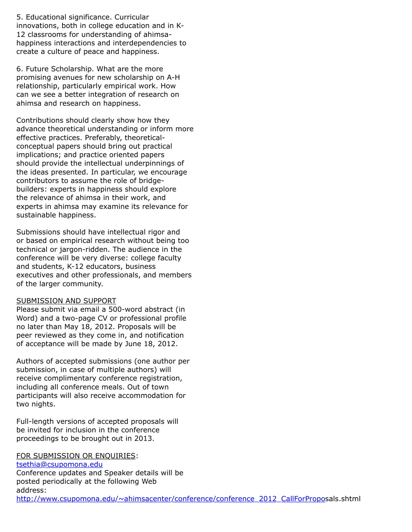5. Educational significance. Curricular innovations, both in college education and in K-12 classrooms for understanding of ahimsahappiness interactions and interdependencies to create a culture of peace and happiness.

6. Future Scholarship. What are the more promising avenues for new scholarship on A-H relationship, particularly empirical work. How can we see a better integration of research on ahimsa and research on happiness.

Contributions should clearly show how they advance theoretical understanding or inform more effective practices. Preferably, theoreticalconceptual papers should bring out practical implications; and practice oriented papers should provide the intellectual underpinnings of the ideas presented. In particular, we encourage contributors to assume the role of bridgebuilders: experts in happiness should explore the relevance of ahimsa in their work, and experts in ahimsa may examine its relevance for sustainable happiness.

Submissions should have intellectual rigor and or based on empirical research without being too technical or jargon-ridden. The audience in the conference will be very diverse: college faculty and students, K-12 educators, business executives and other professionals, and members of the larger community.

## SUBMISSION AND SUPPORT

Please submit via email a 500-word abstract (in Word) and a two-page CV or professional profile no later than May 18, 2012. Proposals will be peer reviewed as they come in, and notification of acceptance will be made by June 18, 2012.

Authors of accepted submissions (one author per submission, in case of multiple authors) will receive complimentary conference registration, including all conference meals. Out of town participants will also receive accommodation for two nights.

Full-length versions of accepted proposals will be invited for inclusion in the conference proceedings to be brought out in 2013.

# FOR SUBMISSION OR ENQUIRIES:

[tsethia@csupomona.edu](https://listserv.tamu.edu/cgi-bin/tsethia@csupomona.edu)

Conference updates and Speaker details will be posted periodically at the following Web address: